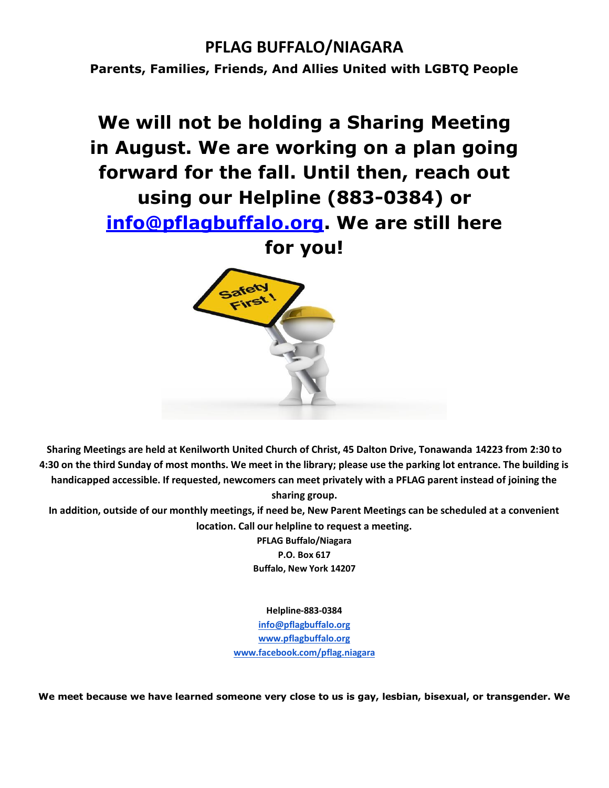### **PFLAG BUFFALO/NIAGARA**

**Parents, Families, Friends, And Allies United with LGBTQ People**

# **We will not be holding a Sharing Meeting in August. We are working on a plan going forward for the fall. Until then, reach out using our Helpline (883-0384) or [info@pflagbuffalo.org.](mailto:info@pflagbuffalo.org) We are still here**

**for you!**



**Sharing Meetings are held at Kenilworth United Church of Christ, 45 Dalton Drive, Tonawanda 14223 from 2:30 to 4:30 on the third Sunday of most months. We meet in the library; please use the parking lot entrance. The building is handicapped accessible. If requested, newcomers can meet privately with a PFLAG parent instead of joining the sharing group.**

**In addition, outside of our monthly meetings, if need be, New Parent Meetings can be scheduled at a convenient location. Call our helpline to request a meeting.**

> **PFLAG Buffalo/Niagara P.O. Box 617 Buffalo, New York 14207**

> > **Helpline-883-0384**

**[info@pflagbuffalo.org](mailto:info@pflagbuffalo.org) [www.pflagbuffalo.org](http://www.pflagbuffalo.org/) [www.facebook.com/pflag.niagara](http://www.facebook.com/pflag.niagara)**

**We meet because we have learned someone very close to us is gay, lesbian, bisexual, or transgender. We**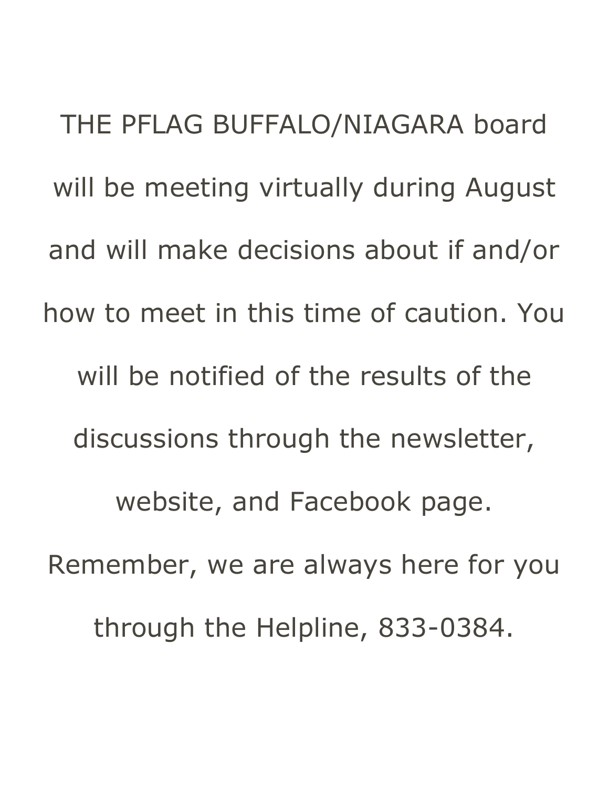THE PFLAG BUFFALO/NIAGARA board will be meeting virtually during August and will make decisions about if and/or how to meet in this time of caution. You will be notified of the results of the discussions through the newsletter, website, and Facebook page. Remember, we are always here for you through the Helpline, 833-0384.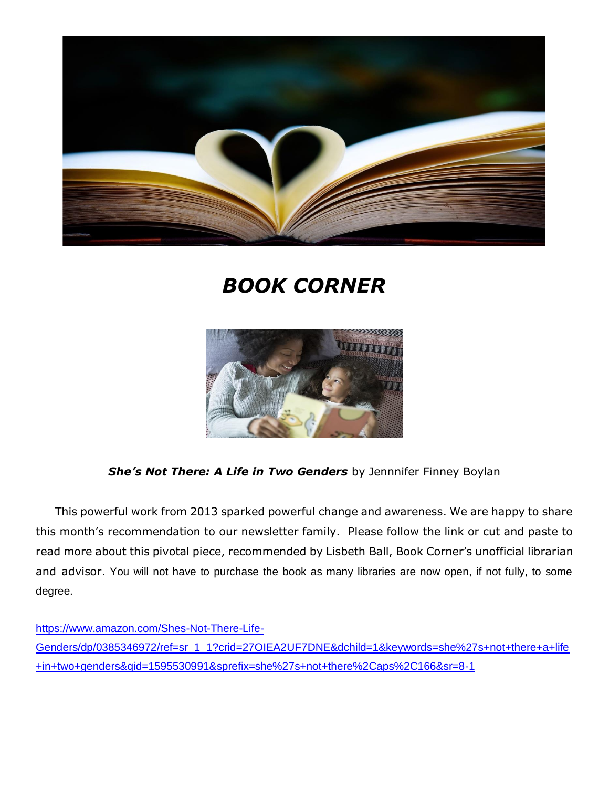

## *BOOK CORNER*



**She's Not There: A Life in Two Genders** by Jennnifer Finney Boylan

 This powerful work from 2013 sparked powerful change and awareness. We are happy to share this month's recommendation to our newsletter family. Please follow the link or cut and paste to read more about this pivotal piece, recommended by Lisbeth Ball, Book Corner's unofficial librarian and advisor. You will not have to purchase the book as many libraries are now open, if not fully, to some degree.

[https://www.amazon.com/Shes-Not-There-Life-](https://www.amazon.com/Shes-Not-There-Life-Genders/dp/0385346972/ref=sr_1_1?crid=27OIEA2UF7DNE&dchild=1&keywords=she%27s+not+there+a+life+in+two+genders&qid=1595530991&sprefix=she%27s+not+there%2Caps%2C166&sr=8-1)[Genders/dp/0385346972/ref=sr\\_1\\_1?crid=27OIEA2UF7DNE&dchild=1&keywords=she%27s+not+there+a+life](https://www.amazon.com/Shes-Not-There-Life-Genders/dp/0385346972/ref=sr_1_1?crid=27OIEA2UF7DNE&dchild=1&keywords=she%27s+not+there+a+life+in+two+genders&qid=1595530991&sprefix=she%27s+not+there%2Caps%2C166&sr=8-1) [+in+two+genders&qid=1595530991&sprefix=she%27s+not+there%2Caps%2C166&sr=8-1](https://www.amazon.com/Shes-Not-There-Life-Genders/dp/0385346972/ref=sr_1_1?crid=27OIEA2UF7DNE&dchild=1&keywords=she%27s+not+there+a+life+in+two+genders&qid=1595530991&sprefix=she%27s+not+there%2Caps%2C166&sr=8-1)